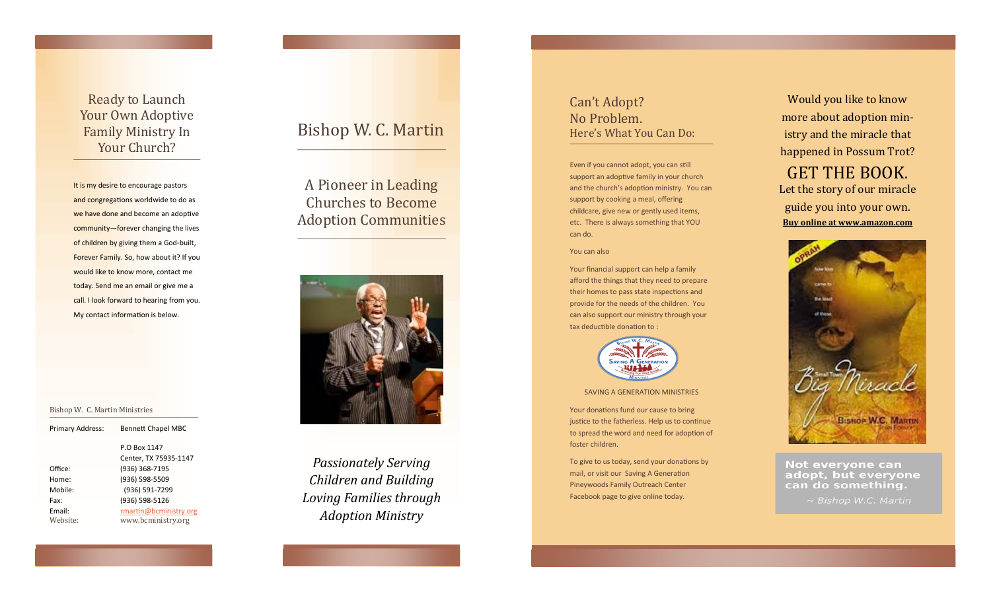Ready to Launch Your Own Adoptive Family Ministry In Your Church?

It is my desire to encourage pastors and congregations worldwide to do as we have done and become an adoptive community —forever changing the lives of children by giving them a God-built, Forever Family. So, how about it? If you would like to know more, contact me today. Send me an email or give me a call. I look forward to hearing from you. My contact information is below.

Bishop W. C. Martin Ministries

|          | P.O Box 1147           |
|----------|------------------------|
|          | Center, TX 75935-1147  |
| Office:  | (936) 368-7195         |
| Home:    | (936) 598-5509         |
| Mobile:  | (936) 591-7299         |
| Fax:     | (936) 598-5126         |
| Email:   | rmartin@bcministry.org |
| Website: | www.bcministry.org     |
|          |                        |

Primary Address: Bennett Chapel MBC

## Bishop W. C. Martin

A Pioneer in Leading Churches to Become Adoption Communities



*Passionately Serving Children and Building Loving Families through Adoption Ministry*

### Can 't Adopt? No Problem. Here 's What You Can Do:

Even if you cannot adopt, you can still support an adoptive family in your church and the church 's adoption ministry. You can support by cooking a meal, offering childcare, give new or gently used items, etc. There is always something that YOU can do.

#### You can also

Your financial support can help a family afford the things that they need to prepare their homes to pass state inspections and provide for the needs of the children. You can also support our ministry through your tax deductible donation to :



#### SAVING A GENERATION MINISTRIES

Your donations fund our cause to bring justice to the fatherless. Help us to continue to spread the word and need for adoption of foster children.

To give to us today, send your donations by mail, or visit our Saving A Generation Pineywoods Family Outreach Center Facebook page to give online today.

Would you like to know more about adoption ministry and the miracle that happened in Possum Trot? GET THE BOOK. Let the story of our miracle guide you into your own.





Not everyone can adopt, but everyone can do something.